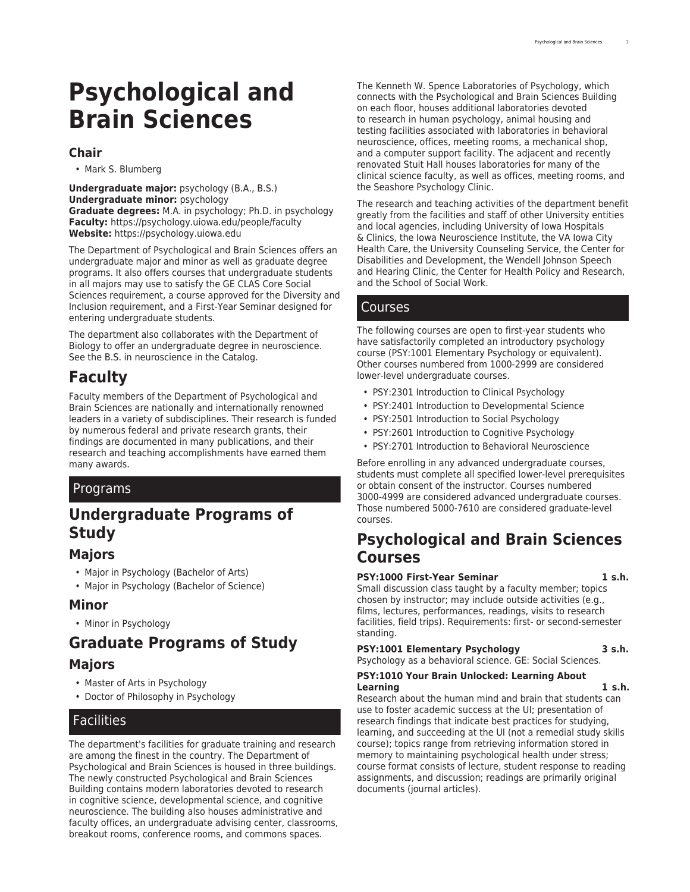# **Psychological and Brain Sciences**

## **Chair**

• Mark S. Blumberg

**Undergraduate major:** psychology (B.A., B.S.) **Undergraduate minor:** psychology **Graduate degrees:** M.A. in psychology; Ph.D. in psychology **Faculty:** [https://psychology.uiowa.edu/people/faculty](https://psychology.uiowa.edu/people/faculty/) **Website:** <https://psychology.uiowa.edu>

The Department of Psychological and Brain Sciences offers an undergraduate major and minor as well as graduate degree programs. It also offers courses that undergraduate students in all majors may use to satisfy the [GE CLAS Core](http://catalog.registrar.uiowa.edu/liberal-arts-sciences/general-education-program/) Social Sciences requirement, a course approved for the Diversity and Inclusion requirement, and a [First-Year Seminar](https://fys.uiowa.edu/) designed for entering undergraduate students.

The department also collaborates with the Department of Biology to offer an undergraduate degree in neuroscience. See the [B.S. in neuroscience](http://catalog.registrar.uiowa.edu/liberal-arts-sciences/neuroscience/neuroscience-bs/) in the Catalog.

# **Faculty**

Faculty members of the Department of Psychological and Brain Sciences are nationally and internationally renowned leaders in a variety of subdisciplines. Their research is funded by numerous federal and private research grants, their findings are documented in many publications, and their research and teaching accomplishments have earned them many awards.

# Programs

# **Undergraduate Programs of Study**

# **Majors**

- [Major in Psychology \(Bachelor of Arts\)](http://catalog.registrar.uiowa.edu/liberal-arts-sciences/psychological-brain-sciences/psychology-ba/)
- [Major in Psychology \(Bachelor of Science\)](http://catalog.registrar.uiowa.edu/liberal-arts-sciences/psychological-brain-sciences/psychology-bs/)

# **Minor**

• [Minor in Psychology](http://catalog.registrar.uiowa.edu/liberal-arts-sciences/psychological-brain-sciences/psychology-minor/)

# **Graduate Programs of Study**

# **Majors**

- [Master of Arts in Psychology](http://catalog.registrar.uiowa.edu/liberal-arts-sciences/psychological-brain-sciences/psychology-ma/)
- [Doctor of Philosophy in Psychology](http://catalog.registrar.uiowa.edu/liberal-arts-sciences/psychological-brain-sciences/psychology-phd/)

# **Facilities**

The department's facilities for graduate training and research are among the finest in the country. The Department of Psychological and Brain Sciences is housed in three buildings. The newly constructed [Psychological and Brain Sciences](https://www.facilities.uiowa.edu/building/0189/) [Building](https://www.facilities.uiowa.edu/building/0189/) contains modern laboratories devoted to research in cognitive science, developmental science, and cognitive neuroscience. The building also houses administrative and faculty offices, an undergraduate advising center, classrooms, breakout rooms, conference rooms, and commons spaces.

The [Kenneth W. Spence Laboratories of Psychology,](https://www.facilities.uiowa.edu/building/0188/) which connects with the Psychological and Brain Sciences Building on each floor, houses additional laboratories devoted to research in human psychology, animal housing and testing facilities associated with laboratories in behavioral neuroscience, offices, meeting rooms, a mechanical shop, and a computer support facility. The adjacent and recently renovated [Stuit Hall](https://www.facilities.uiowa.edu/building/0020/) houses laboratories for many of the clinical science faculty, as well as offices, meeting rooms, and the [Seashore Psychology Clinic.](https://psychology.uiowa.edu/seashore-clinic/)

The research and teaching activities of the department benefit greatly from the facilities and staff of other University entities and local agencies, including [University of Iowa Hospitals](https://uihc.org/about-us/) [& Clinics,](https://uihc.org/about-us/) the [Iowa Neuroscience Institute,](https://medicine.uiowa.edu/iowaneuroscience/) the [VA Iowa City](https://www.va.gov/iowa-city-health-care/) [Health Care,](https://www.va.gov/iowa-city-health-care/) the [University Counseling Service,](https://counseling.uiowa.edu/) the [Center for](https://uichildrens.org/medical-services/center-disabilities-and-development/) [Disabilities and Development](https://uichildrens.org/medical-services/center-disabilities-and-development/), the [Wendell Johnson Speech](https://csd.uiowa.edu/) [and Hearing Clinic,](https://csd.uiowa.edu/) the [Center for Health Policy and Research](https://www.public-health.uiowa.edu/chpr/), and the [School of Social Work](https://socialwork.uiowa.edu/).

# Courses

The following courses are open to first-year students who have satisfactorily completed an introductory psychology course (PSY:1001 Elementary Psychology or equivalent). Other courses numbered from 1000-2999 are considered lower-level undergraduate courses.

- PSY:2301 Introduction to Clinical Psychology
- PSY:2401 Introduction to Developmental Science
- PSY:2501 Introduction to Social Psychology
- PSY:2601 Introduction to Cognitive Psychology
- PSY:2701 Introduction to Behavioral Neuroscience

Before enrolling in any advanced undergraduate courses, students must complete all specified lower-level prerequisites or obtain consent of the instructor. Courses numbered 3000-4999 are considered advanced undergraduate courses. Those numbered 5000-7610 are considered graduate-level courses.

# **Psychological and Brain Sciences Courses**

#### **PSY:1000 First-Year Seminar 1 s.h.**

Small discussion class taught by a faculty member; topics chosen by instructor; may include outside activities (e.g., films, lectures, performances, readings, visits to research facilities, field trips). Requirements: first- or second-semester standing.

### **PSY:1001 Elementary Psychology 3 s.h.**

Psychology as a behavioral science. GE: Social Sciences.

#### **PSY:1010 Your Brain Unlocked: Learning About Learning 1 s.h.**

Research about the human mind and brain that students can use to foster academic success at the UI; presentation of research findings that indicate best practices for studying, learning, and succeeding at the UI (not a remedial study skills course); topics range from retrieving information stored in memory to maintaining psychological health under stress; course format consists of lecture, student response to reading assignments, and discussion; readings are primarily original documents (journal articles).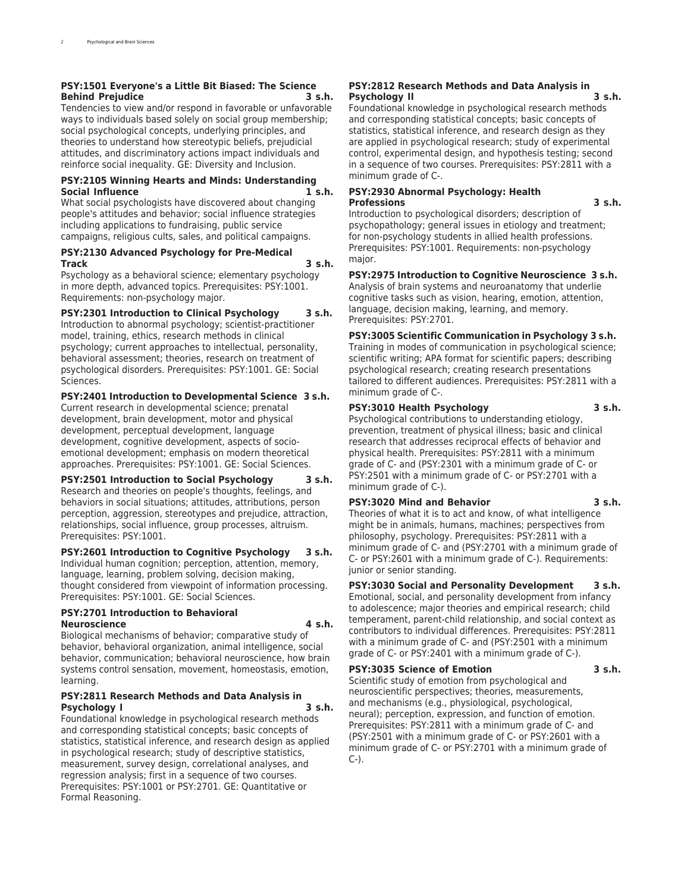#### **PSY:1501 Everyone's a Little Bit Biased: The Science Behind Prejudice 3 s.h.**

Tendencies to view and/or respond in favorable or unfavorable ways to individuals based solely on social group membership; social psychological concepts, underlying principles, and theories to understand how stereotypic beliefs, prejudicial attitudes, and discriminatory actions impact individuals and reinforce social inequality. GE: Diversity and Inclusion.

#### **PSY:2105 Winning Hearts and Minds: Understanding Social Influence**

What social psychologists have discovered about changing people's attitudes and behavior; social influence strategies including applications to fundraising, public service campaigns, religious cults, sales, and political campaigns.

#### **PSY:2130 Advanced Psychology for Pre-Medical Track 3 s.h.**

Psychology as a behavioral science; elementary psychology in more depth, advanced topics. Prerequisites: PSY:1001. Requirements: non-psychology major.

### **PSY:2301 Introduction to Clinical Psychology 3 s.h.**

Introduction to abnormal psychology; scientist-practitioner model, training, ethics, research methods in clinical psychology; current approaches to intellectual, personality, behavioral assessment; theories, research on treatment of psychological disorders. Prerequisites: PSY:1001. GE: Social Sciences.

### **PSY:2401 Introduction to Developmental Science 3 s.h.**

Current research in developmental science; prenatal development, brain development, motor and physical development, perceptual development, language development, cognitive development, aspects of socioemotional development; emphasis on modern theoretical approaches. Prerequisites: PSY:1001. GE: Social Sciences.

#### **PSY:2501 Introduction to Social Psychology 3 s.h.**

Research and theories on people's thoughts, feelings, and behaviors in social situations; attitudes, attributions, person perception, aggression, stereotypes and prejudice, attraction, relationships, social influence, group processes, altruism. Prerequisites: PSY:1001.

### **PSY:2601 Introduction to Cognitive Psychology 3 s.h.**

Individual human cognition; perception, attention, memory, language, learning, problem solving, decision making, thought considered from viewpoint of information processing. Prerequisites: PSY:1001. GE: Social Sciences.

#### **PSY:2701 Introduction to Behavioral Neuroscience 4 s.h.**

Biological mechanisms of behavior; comparative study of behavior, behavioral organization, animal intelligence, social behavior, communication; behavioral neuroscience, how brain systems control sensation, movement, homeostasis, emotion, learning.

#### **PSY:2811 Research Methods and Data Analysis in Psychology I 3 s.h.**

Foundational knowledge in psychological research methods and corresponding statistical concepts; basic concepts of statistics, statistical inference, and research design as applied in psychological research; study of descriptive statistics, measurement, survey design, correlational analyses, and regression analysis; first in a sequence of two courses. Prerequisites: PSY:1001 or PSY:2701. GE: Quantitative or Formal Reasoning.

#### **PSY:2812 Research Methods and Data Analysis in Psychology II 3 s.h.**

Foundational knowledge in psychological research methods and corresponding statistical concepts; basic concepts of statistics, statistical inference, and research design as they are applied in psychological research; study of experimental control, experimental design, and hypothesis testing; second in a sequence of two courses. Prerequisites: PSY:2811 with a minimum grade of C-.

#### **PSY:2930 Abnormal Psychology: Health Professions 3 s.h.**

Introduction to psychological disorders; description of psychopathology; general issues in etiology and treatment; for non-psychology students in allied health professions. Prerequisites: PSY:1001. Requirements: non-psychology major.

**PSY:2975 Introduction to Cognitive Neuroscience 3 s.h.** Analysis of brain systems and neuroanatomy that underlie cognitive tasks such as vision, hearing, emotion, attention, language, decision making, learning, and memory. Prerequisites: PSY:2701.

**PSY:3005 Scientific Communication in Psychology 3 s.h.** Training in modes of communication in psychological science; scientific writing; APA format for scientific papers; describing psychological research; creating research presentations tailored to different audiences. Prerequisites: PSY:2811 with a minimum grade of C-.

#### **PSY:3010 Health Psychology 3 s.h.**

Psychological contributions to understanding etiology, prevention, treatment of physical illness; basic and clinical research that addresses reciprocal effects of behavior and physical health. Prerequisites: PSY:2811 with a minimum grade of C- and (PSY:2301 with a minimum grade of C- or PSY:2501 with a minimum grade of C- or PSY:2701 with a minimum grade of C-).

#### **PSY:3020 Mind and Behavior 3 s.h.**

Theories of what it is to act and know, of what intelligence might be in animals, humans, machines; perspectives from philosophy, psychology. Prerequisites: PSY:2811 with a minimum grade of C- and (PSY:2701 with a minimum grade of C- or PSY:2601 with a minimum grade of C-). Requirements: junior or senior standing.

#### **PSY:3030 Social and Personality Development 3 s.h.** Emotional, social, and personality development from infancy to adolescence; major theories and empirical research; child temperament, parent-child relationship, and social context as contributors to individual differences. Prerequisites: PSY:2811

with a minimum grade of C- and (PSY:2501 with a minimum grade of C- or PSY:2401 with a minimum grade of C-).

### **PSY:3035 Science of Emotion 3 s.h.**

Scientific study of emotion from psychological and neuroscientific perspectives; theories, measurements, and mechanisms (e.g., physiological, psychological, neural); perception, expression, and function of emotion. Prerequisites: PSY:2811 with a minimum grade of C- and (PSY:2501 with a minimum grade of C- or PSY:2601 with a minimum grade of C- or PSY:2701 with a minimum grade of C-).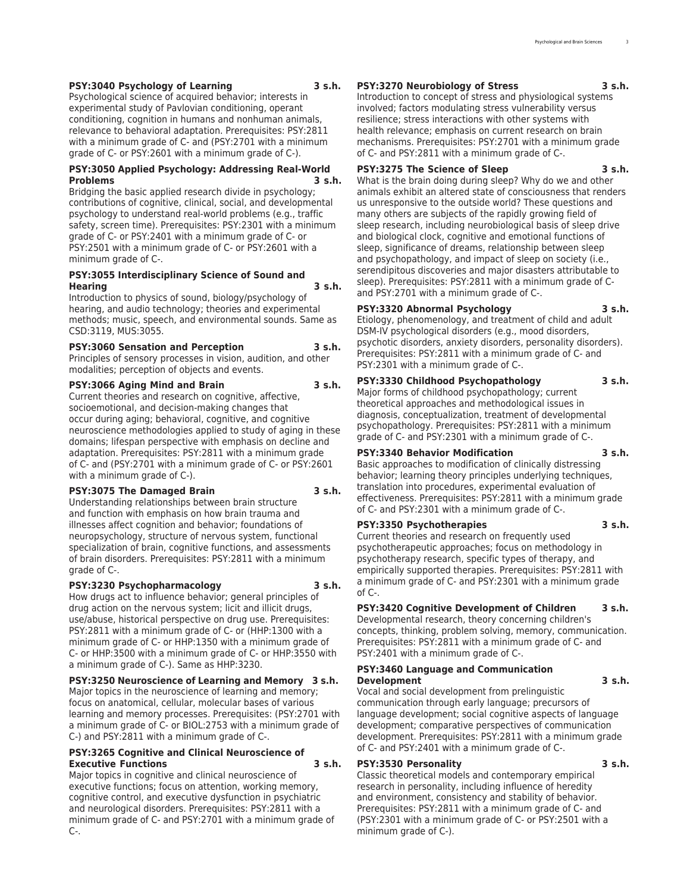#### **PSY:3040 Psychology of Learning 3 s.h.**

Psychological science of acquired behavior; interests in experimental study of Pavlovian conditioning, operant conditioning, cognition in humans and nonhuman animals, relevance to behavioral adaptation. Prerequisites: PSY:2811 with a minimum grade of C- and (PSY:2701 with a minimum grade of C- or PSY:2601 with a minimum grade of C-).

#### **PSY:3050 Applied Psychology: Addressing Real-World Problems 3 s.h.**

Bridging the basic applied research divide in psychology; contributions of cognitive, clinical, social, and developmental psychology to understand real-world problems (e.g., traffic safety, screen time). Prerequisites: PSY:2301 with a minimum grade of C- or PSY:2401 with a minimum grade of C- or PSY:2501 with a minimum grade of C- or PSY:2601 with a minimum grade of C-.

#### **PSY:3055 Interdisciplinary Science of Sound and Hearing 3 s.h.**

Introduction to physics of sound, biology/psychology of hearing, and audio technology; theories and experimental methods; music, speech, and environmental sounds. Same as CSD:3119, MUS:3055.

#### **PSY:3060 Sensation and Perception 3 s.h.**

Principles of sensory processes in vision, audition, and other modalities; perception of objects and events.

#### **PSY:3066 Aging Mind and Brain 3 s.h.**

Current theories and research on cognitive, affective, socioemotional, and decision-making changes that occur during aging; behavioral, cognitive, and cognitive neuroscience methodologies applied to study of aging in these domains; lifespan perspective with emphasis on decline and adaptation. Prerequisites: PSY:2811 with a minimum grade of C- and (PSY:2701 with a minimum grade of C- or PSY:2601 with a minimum grade of C-).

#### **PSY:3075 The Damaged Brain 3 s.h.**

Understanding relationships between brain structure and function with emphasis on how brain trauma and illnesses affect cognition and behavior; foundations of neuropsychology, structure of nervous system, functional specialization of brain, cognitive functions, and assessments of brain disorders. Prerequisites: PSY:2811 with a minimum grade of C-.

#### **PSY:3230 Psychopharmacology 3 s.h.**

How drugs act to influence behavior; general principles of drug action on the nervous system; licit and illicit drugs, use/abuse, historical perspective on drug use. Prerequisites: PSY:2811 with a minimum grade of C- or (HHP:1300 with a minimum grade of C- or HHP:1350 with a minimum grade of C- or HHP:3500 with a minimum grade of C- or HHP:3550 with a minimum grade of C-). Same as HHP:3230.

#### **PSY:3250 Neuroscience of Learning and Memory 3 s.h.**

Major topics in the neuroscience of learning and memory; focus on anatomical, cellular, molecular bases of various learning and memory processes. Prerequisites: (PSY:2701 with a minimum grade of C- or BIOL:2753 with a minimum grade of C-) and PSY:2811 with a minimum grade of C-.

#### **PSY:3265 Cognitive and Clinical Neuroscience of Executive Functions 3 s.h.**

Major topics in cognitive and clinical neuroscience of executive functions; focus on attention, working memory, cognitive control, and executive dysfunction in psychiatric and neurological disorders. Prerequisites: PSY:2811 with a minimum grade of C- and PSY:2701 with a minimum grade of C-.

#### **PSY:3270 Neurobiology of Stress 3 s.h.**

Introduction to concept of stress and physiological systems involved; factors modulating stress vulnerability versus resilience; stress interactions with other systems with health relevance; emphasis on current research on brain mechanisms. Prerequisites: PSY:2701 with a minimum grade of C- and PSY:2811 with a minimum grade of C-.

#### **PSY:3275 The Science of Sleep 3 s.h.**

What is the brain doing during sleep? Why do we and other animals exhibit an altered state of consciousness that renders us unresponsive to the outside world? These questions and many others are subjects of the rapidly growing field of sleep research, including neurobiological basis of sleep drive and biological clock, cognitive and emotional functions of sleep, significance of dreams, relationship between sleep and psychopathology, and impact of sleep on society (i.e., serendipitous discoveries and major disasters attributable to sleep). Prerequisites: PSY:2811 with a minimum grade of Cand PSY:2701 with a minimum grade of C-.

#### **PSY:3320 Abnormal Psychology 3 s.h.**

Etiology, phenomenology, and treatment of child and adult DSM-IV psychological disorders (e.g., mood disorders, psychotic disorders, anxiety disorders, personality disorders). Prerequisites: PSY:2811 with a minimum grade of C- and PSY:2301 with a minimum grade of C-.

#### **PSY:3330 Childhood Psychopathology 3 s.h.**

Major forms of childhood psychopathology; current theoretical approaches and methodological issues in diagnosis, conceptualization, treatment of developmental psychopathology. Prerequisites: PSY:2811 with a minimum grade of C- and PSY:2301 with a minimum grade of C-.

#### **PSY:3340 Behavior Modification 3 s.h.**

Basic approaches to modification of clinically distressing behavior; learning theory principles underlying techniques, translation into procedures, experimental evaluation of effectiveness. Prerequisites: PSY:2811 with a minimum grade of C- and PSY:2301 with a minimum grade of C-.

**PSY:3350 Psychotherapies 3 s.h.** Current theories and research on frequently used psychotherapeutic approaches; focus on methodology in psychotherapy research, specific types of therapy, and

empirically supported therapies. Prerequisites: PSY:2811 with a minimum grade of C- and PSY:2301 with a minimum grade of C-.

#### **PSY:3420 Cognitive Development of Children 3 s.h.**

Developmental research, theory concerning children's concepts, thinking, problem solving, memory, communication. Prerequisites: PSY:2811 with a minimum grade of C- and PSY:2401 with a minimum grade of C-.

#### **PSY:3460 Language and Communication Development 3 s.h.**

Vocal and social development from prelinguistic communication through early language; precursors of language development; social cognitive aspects of language development; comparative perspectives of communication development. Prerequisites: PSY:2811 with a minimum grade of C- and PSY:2401 with a minimum grade of C-.

#### **PSY:3530 Personality 3 s.h.**

Classic theoretical models and contemporary empirical research in personality, including influence of heredity and environment, consistency and stability of behavior. Prerequisites: PSY:2811 with a minimum grade of C- and (PSY:2301 with a minimum grade of C- or PSY:2501 with a minimum grade of C-).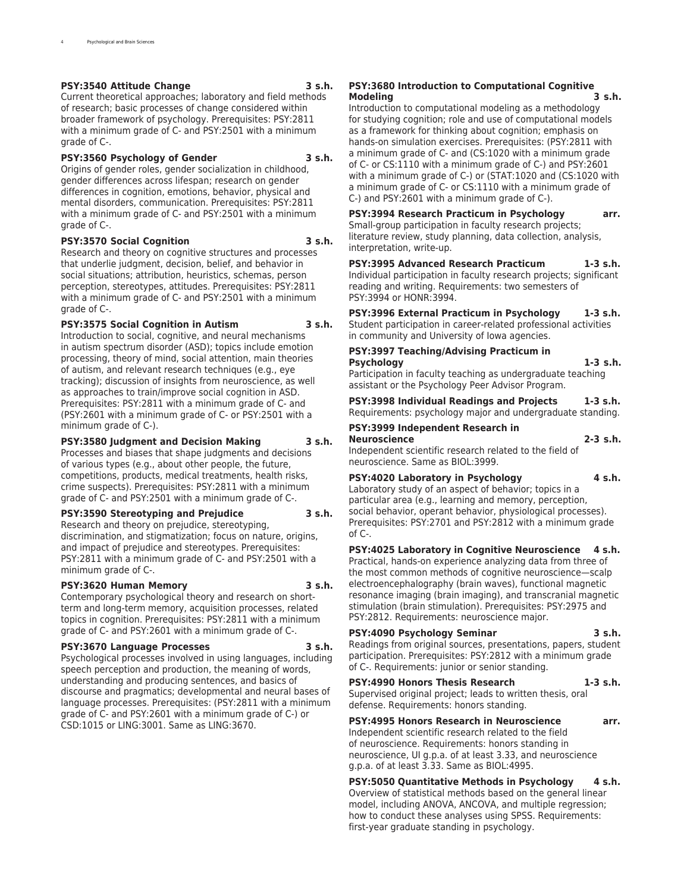#### **PSY:3540 Attitude Change 3 s.h.**

Current theoretical approaches; laboratory and field methods of research; basic processes of change considered within broader framework of psychology. Prerequisites: PSY:2811 with a minimum grade of C- and PSY:2501 with a minimum grade of C-.

#### **PSY:3560 Psychology of Gender 3 s.h.**

Origins of gender roles, gender socialization in childhood, gender differences across lifespan; research on gender differences in cognition, emotions, behavior, physical and mental disorders, communication. Prerequisites: PSY:2811 with a minimum grade of C- and PSY:2501 with a minimum grade of C-.

#### **PSY:3570 Social Cognition 3 s.h.**

Research and theory on cognitive structures and processes that underlie judgment, decision, belief, and behavior in social situations; attribution, heuristics, schemas, person perception, stereotypes, attitudes. Prerequisites: PSY:2811 with a minimum grade of C- and PSY:2501 with a minimum grade of C-.

#### **PSY:3575 Social Cognition in Autism 3 s.h.**

Introduction to social, cognitive, and neural mechanisms in autism spectrum disorder (ASD); topics include emotion processing, theory of mind, social attention, main theories of autism, and relevant research techniques (e.g., eye tracking); discussion of insights from neuroscience, as well as approaches to train/improve social cognition in ASD. Prerequisites: PSY:2811 with a minimum grade of C- and (PSY:2601 with a minimum grade of C- or PSY:2501 with a minimum grade of C-).

#### **PSY:3580 Judgment and Decision Making 3 s.h.**

Processes and biases that shape judgments and decisions of various types (e.g., about other people, the future, competitions, products, medical treatments, health risks, crime suspects). Prerequisites: PSY:2811 with a minimum grade of C- and PSY:2501 with a minimum grade of C-.

#### **PSY:3590 Stereotyping and Prejudice 3 s.h.**

Research and theory on prejudice, stereotyping, discrimination, and stigmatization; focus on nature, origins, and impact of prejudice and stereotypes. Prerequisites: PSY:2811 with a minimum grade of C- and PSY:2501 with a minimum grade of C-.

#### **PSY:3620 Human Memory 3 s.h.**

Contemporary psychological theory and research on shortterm and long-term memory, acquisition processes, related topics in cognition. Prerequisites: PSY:2811 with a minimum grade of C- and PSY:2601 with a minimum grade of C-.

#### **PSY:3670 Language Processes 3 s.h.**

Psychological processes involved in using languages, including speech perception and production, the meaning of words, understanding and producing sentences, and basics of discourse and pragmatics; developmental and neural bases of language processes. Prerequisites: (PSY:2811 with a minimum grade of C- and PSY:2601 with a minimum grade of C-) or CSD:1015 or LING:3001. Same as LING:3670.

#### **PSY:3680 Introduction to Computational Cognitive Modeling 3 s.h.**

Introduction to computational modeling as a methodology for studying cognition; role and use of computational models as a framework for thinking about cognition; emphasis on hands-on simulation exercises. Prerequisites: (PSY:2811 with a minimum grade of C- and (CS:1020 with a minimum grade of C- or CS:1110 with a minimum grade of C-) and PSY:2601 with a minimum grade of C-) or (STAT:1020 and (CS:1020 with a minimum grade of C- or CS:1110 with a minimum grade of C-) and PSY:2601 with a minimum grade of C-).

**PSY:3994 Research Practicum in Psychology arr.** Small-group participation in faculty research projects; literature review, study planning, data collection, analysis, interpretation, write-up.

**PSY:3995 Advanced Research Practicum 1-3 s.h.** Individual participation in faculty research projects; significant reading and writing. Requirements: two semesters of PSY:3994 or HONR:3994.

**PSY:3996 External Practicum in Psychology 1-3 s.h.** Student participation in career-related professional activities in community and University of Iowa agencies.

### **PSY:3997 Teaching/Advising Practicum in Psychology 1-3 s.h.**

Participation in faculty teaching as undergraduate teaching assistant or the Psychology Peer Advisor Program.

**PSY:3998 Individual Readings and Projects 1-3 s.h.** Requirements: psychology major and undergraduate standing.

#### **PSY:3999 Independent Research in Neuroscience 2-3 s.h.** Independent scientific research related to the field of

neuroscience. Same as BIOL:3999.

**PSY:4020 Laboratory in Psychology 4 s.h.** Laboratory study of an aspect of behavior; topics in a particular area (e.g., learning and memory, perception, social behavior, operant behavior, physiological processes). Prerequisites: PSY:2701 and PSY:2812 with a minimum grade of C-.

**PSY:4025 Laboratory in Cognitive Neuroscience 4 s.h.** Practical, hands-on experience analyzing data from three of the most common methods of cognitive neuroscience—scalp electroencephalography (brain waves), functional magnetic resonance imaging (brain imaging), and transcranial magnetic stimulation (brain stimulation). Prerequisites: PSY:2975 and PSY:2812. Requirements: neuroscience major.

**PSY:4090 Psychology Seminar 3 s.h.**

Readings from original sources, presentations, papers, student participation. Prerequisites: PSY:2812 with a minimum grade of C-. Requirements: junior or senior standing.

**PSY:4990 Honors Thesis Research 1-3 s.h.** Supervised original project; leads to written thesis, oral defense. Requirements: honors standing.

**PSY:4995 Honors Research in Neuroscience arr.** Independent scientific research related to the field of neuroscience. Requirements: honors standing in neuroscience, UI g.p.a. of at least 3.33, and neuroscience g.p.a. of at least 3.33. Same as BIOL:4995.

**PSY:5050 Quantitative Methods in Psychology 4 s.h.** Overview of statistical methods based on the general linear model, including ANOVA, ANCOVA, and multiple regression; how to conduct these analyses using SPSS. Requirements: first-year graduate standing in psychology.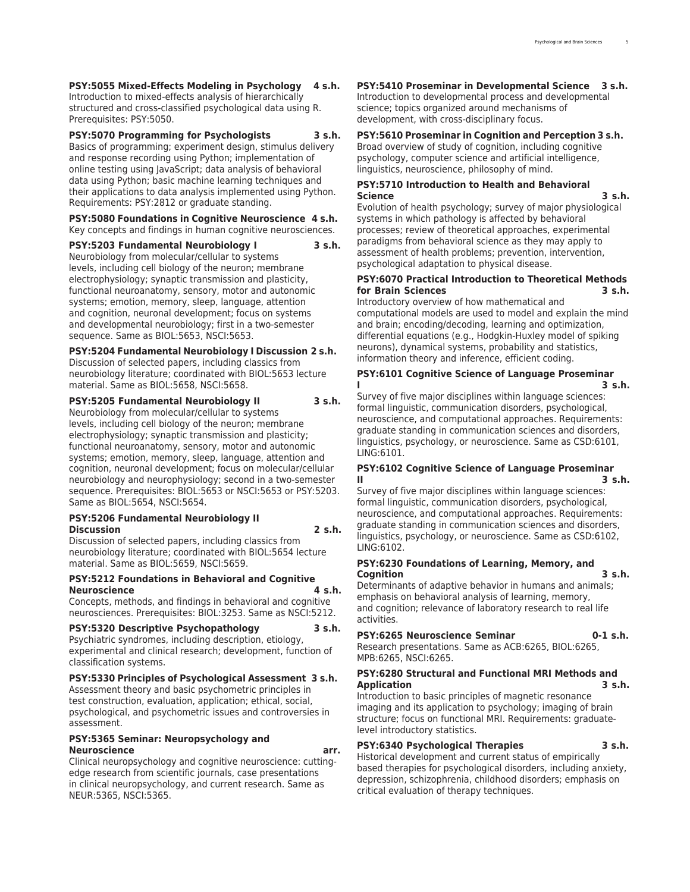**PSY:5055 Mixed-Effects Modeling in Psychology 4 s.h.** Introduction to mixed-effects analysis of hierarchically structured and cross-classified psychological data using R. Prerequisites: PSY:5050.

**PSY:5070 Programming for Psychologists 3 s.h.**

Basics of programming; experiment design, stimulus delivery and response recording using Python; implementation of online testing using JavaScript; data analysis of behavioral data using Python; basic machine learning techniques and their applications to data analysis implemented using Python. Requirements: PSY:2812 or graduate standing.

#### **PSY:5080 Foundations in Cognitive Neuroscience 4 s.h.** Key concepts and findings in human cognitive neurosciences.

**PSY:5203 Fundamental Neurobiology I 3 s.h.**

Neurobiology from molecular/cellular to systems levels, including cell biology of the neuron; membrane electrophysiology; synaptic transmission and plasticity, functional neuroanatomy, sensory, motor and autonomic systems; emotion, memory, sleep, language, attention and cognition, neuronal development; focus on systems and developmental neurobiology; first in a two-semester sequence. Same as BIOL:5653, NSCI:5653.

#### **PSY:5204 Fundamental Neurobiology I Discussion 2 s.h.**

Discussion of selected papers, including classics from neurobiology literature; coordinated with BIOL:5653 lecture material. Same as BIOL:5658, NSCI:5658.

**PSY:5205 Fundamental Neurobiology II 3 s.h.**

Neurobiology from molecular/cellular to systems levels, including cell biology of the neuron; membrane electrophysiology; synaptic transmission and plasticity; functional neuroanatomy, sensory, motor and autonomic systems; emotion, memory, sleep, language, attention and cognition, neuronal development; focus on molecular/cellular neurobiology and neurophysiology; second in a two-semester sequence. Prerequisites: BIOL:5653 or NSCI:5653 or PSY:5203. Same as BIOL:5654, NSCI:5654.

#### **PSY:5206 Fundamental Neurobiology II Discussion 2 s.h.**

Discussion of selected papers, including classics from neurobiology literature; coordinated with BIOL:5654 lecture material. Same as BIOL:5659, NSCI:5659.

#### **PSY:5212 Foundations in Behavioral and Cognitive Neuroscience 4 s.h.**

Concepts, methods, and findings in behavioral and cognitive neurosciences. Prerequisites: BIOL:3253. Same as NSCI:5212.

#### **PSY:5320 Descriptive Psychopathology 3 s.h.**

Psychiatric syndromes, including description, etiology, experimental and clinical research; development, function of classification systems.

#### **PSY:5330 Principles of Psychological Assessment 3 s.h.**

Assessment theory and basic psychometric principles in test construction, evaluation, application; ethical, social, psychological, and psychometric issues and controversies in assessment.

#### **PSY:5365 Seminar: Neuropsychology and Neuroscience arr.**

Clinical neuropsychology and cognitive neuroscience: cuttingedge research from scientific journals, case presentations in clinical neuropsychology, and current research. Same as NEUR:5365, NSCI:5365.

**PSY:5410 Proseminar in Developmental Science 3 s.h.** Introduction to developmental process and developmental science; topics organized around mechanisms of development, with cross-disciplinary focus.

#### **PSY:5610 Proseminar in Cognition and Perception 3 s.h.**

Broad overview of study of cognition, including cognitive psychology, computer science and artificial intelligence, linguistics, neuroscience, philosophy of mind.

#### **PSY:5710 Introduction to Health and Behavioral Science 3 s.h.**

Evolution of health psychology; survey of major physiological systems in which pathology is affected by behavioral processes; review of theoretical approaches, experimental paradigms from behavioral science as they may apply to assessment of health problems; prevention, intervention, psychological adaptation to physical disease.

#### **PSY:6070 Practical Introduction to Theoretical Methods for Brain Sciences 3 s.h.**

Introductory overview of how mathematical and computational models are used to model and explain the mind and brain; encoding/decoding, learning and optimization, differential equations (e.g., Hodgkin-Huxley model of spiking neurons), dynamical systems, probability and statistics, information theory and inference, efficient coding.

#### **PSY:6101 Cognitive Science of Language Proseminar I 3 s.h.**

Survey of five major disciplines within language sciences: formal linguistic, communication disorders, psychological, neuroscience, and computational approaches. Requirements: graduate standing in communication sciences and disorders, linguistics, psychology, or neuroscience. Same as CSD:6101, LING:6101.

#### **PSY:6102 Cognitive Science of Language Proseminar II 3 s.h.**

Survey of five major disciplines within language sciences: formal linguistic, communication disorders, psychological, neuroscience, and computational approaches. Requirements: graduate standing in communication sciences and disorders, linguistics, psychology, or neuroscience. Same as CSD:6102, LING:6102.

#### **PSY:6230 Foundations of Learning, Memory, and Cognition 3 s.h.**

Determinants of adaptive behavior in humans and animals; emphasis on behavioral analysis of learning, memory, and cognition; relevance of laboratory research to real life activities.

#### **PSY:6265 Neuroscience Seminar 0-1 s.h.**

Research presentations. Same as ACB:6265, BIOL:6265, MPB:6265, NSCI:6265.

#### **PSY:6280 Structural and Functional MRI Methods and Application 3 s.h.**

Introduction to basic principles of magnetic resonance imaging and its application to psychology; imaging of brain structure; focus on functional MRI. Requirements: graduatelevel introductory statistics.

#### **PSY:6340 Psychological Therapies 3 s.h.**

Historical development and current status of empirically based therapies for psychological disorders, including anxiety, depression, schizophrenia, childhood disorders; emphasis on critical evaluation of therapy techniques.